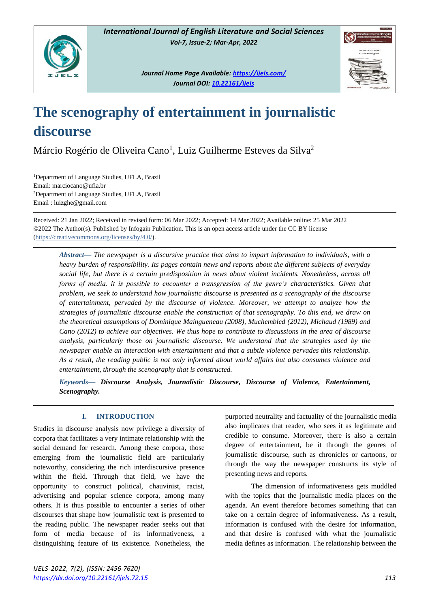

*Journal Home Page Available[: https://ijels.com/](https://ijels.com/) Journal DOI: 10.22161/ijels*



## **The scenography of entertainment in journalistic discourse**

Márcio Rogério de Oliveira Cano<sup>1</sup>, Luiz Guilherme Esteves da Silva<sup>2</sup>

<sup>1</sup>Department of Language Studies, UFLA, Brazil Email: marciocano@ufla.br <sup>2</sup>Department of Language Studies, UFLA, Brazil Email : luizghe@gmail.com

Received: 21 Jan 2022; Received in revised form: 06 Mar 2022; Accepted: 14 Mar 2022; Available online: 25 Mar 2022 ©2022 The Author(s). Published by Infogain Publication. This is an open access article under the CC BY license [\(https://creativecommons.org/licenses/by/4.0/\)](https://creativecommons.org/licenses/by/4.0/).

*Abstract***—** *The newspaper is a discursive practice that aims to impart information to individuals, with a heavy burden of responsibility. Its pages contain news and reports about the different subjects of everyday social life, but there is a certain predisposition in news about violent incidents. Nonetheless, across all forms of media, it is possible to encounter a transgression of the genre's characteristics. Given that problem, we seek to understand how journalistic discourse is presented as a scenography of the discourse of entertainment, pervaded by the discourse of violence. Moreover, we attempt to analyze how the strategies of journalistic discourse enable the construction of that scenography. To this end, we draw on the theoretical assumptions of Dominique Maingueneau (2008), Muchembled (2012), Michaud (1989) and Cano (2012) to achieve our objectives. We thus hope to contribute to discussions in the area of discourse analysis, particularly those on journalistic discourse. We understand that the strategies used by the newspaper enable an interaction with entertainment and that a subtle violence pervades this relationship. As a result, the reading public is not only informed about world affairs but also consumes violence and entertainment, through the scenography that is constructed.*

*Keywords***—** *Discourse Analysis, Journalistic Discourse, Discourse of Violence, Entertainment, Scenography.*

### **I. INTRODUCTION**

Studies in discourse analysis now privilege a diversity of corpora that facilitates a very intimate relationship with the social demand for research. Among these corpora, those emerging from the journalistic field are particularly noteworthy, considering the rich interdiscursive presence within the field. Through that field, we have the opportunity to construct political, chauvinist, racist, advertising and popular science corpora, among many others. It is thus possible to encounter a series of other discourses that shape how journalistic text is presented to the reading public. The newspaper reader seeks out that form of media because of its informativeness, a distinguishing feature of its existence. Nonetheless, the purported neutrality and factuality of the journalistic media also implicates that reader, who sees it as legitimate and credible to consume. Moreover, there is also a certain degree of entertainment, be it through the genres of journalistic discourse, such as chronicles or cartoons, or through the way the newspaper constructs its style of presenting news and reports.

The dimension of informativeness gets muddled with the topics that the journalistic media places on the agenda. An event therefore becomes something that can take on a certain degree of informativeness. As a result, information is confused with the desire for information, and that desire is confused with what the journalistic media defines as information. The relationship between the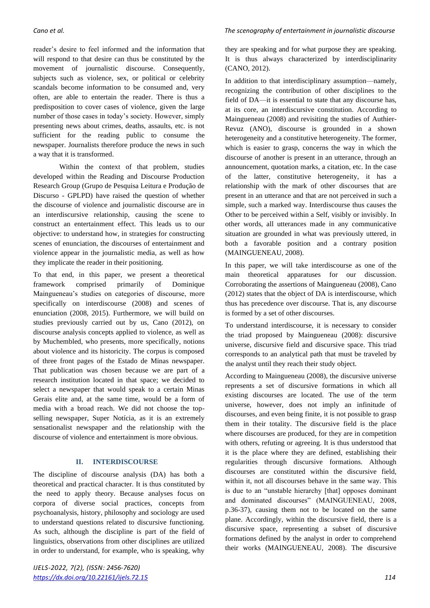reader's desire to feel informed and the information that will respond to that desire can thus be constituted by the movement of journalistic discourse. Consequently, subjects such as violence, sex, or political or celebrity scandals become information to be consumed and, very often, are able to entertain the reader. There is thus a predisposition to cover cases of violence, given the large number of those cases in today's society. However, simply presenting news about crimes, deaths, assaults, etc. is not sufficient for the reading public to consume the newspaper. Journalists therefore produce the news in such a way that it is transformed.

Within the context of that problem, studies developed within the Reading and Discourse Production Research Group (Grupo de Pesquisa Leitura e Produção de Discurso - GPLPD) have raised the question of whether the discourse of violence and journalistic discourse are in an interdiscursive relationship, causing the scene to construct an entertainment effect. This leads us to our objective: to understand how, in strategies for constructing scenes of enunciation, the discourses of entertainment and violence appear in the journalistic media, as well as how they implicate the reader in their positioning.

To that end, in this paper, we present a theoretical framework comprised primarily of Dominique Maingueneau's studies on categories of discourse, more specifically on interdiscourse (2008) and scenes of enunciation (2008, 2015). Furthermore, we will build on studies previously carried out by us, Cano (2012), on discourse analysis concepts applied to violence, as well as by Muchembled, who presents, more specifically, notions about violence and its historicity. The corpus is composed of three front pages of the Estado de Minas newspaper. That publication was chosen because we are part of a research institution located in that space; we decided to select a newspaper that would speak to a certain Minas Gerais elite and, at the same time, would be a form of media with a broad reach. We did not choose the topselling newspaper, Super Notícia, as it is an extremely sensationalist newspaper and the relationship with the discourse of violence and entertainment is more obvious.

### **II. INTERDISCOURSE**

The discipline of discourse analysis (DA) has both a theoretical and practical character. It is thus constituted by the need to apply theory. Because analyses focus on corpora of diverse social practices, concepts from psychoanalysis, history, philosophy and sociology are used to understand questions related to discursive functioning. As such, although the discipline is part of the field of linguistics, observations from other disciplines are utilized in order to understand, for example, who is speaking, why

### *Cano et al. The scenography of entertainment in journalistic discourse*

they are speaking and for what purpose they are speaking. It is thus always characterized by interdisciplinarity (CANO, 2012).

In addition to that interdisciplinary assumption—namely, recognizing the contribution of other disciplines to the field of DA—it is essential to state that any discourse has, at its core, an interdiscursive constitution. According to Maingueneau (2008) and revisiting the studies of Authier-Revuz (ANO), discourse is grounded in a shown heterogeneity and a constitutive heterogeneity. The former, which is easier to grasp, concerns the way in which the discourse of another is present in an utterance, through an announcement, quotation marks, a citation, etc. In the case of the latter, constitutive heterogeneity, it has a relationship with the mark of other discourses that are present in an utterance and that are not perceived in such a simple, such a marked way. Interdiscourse thus causes the Other to be perceived within a Self, visibly or invisibly. In other words, all utterances made in any communicative situation are grounded in what was previously uttered, in both a favorable position and a contrary position (MAINGUENEAU, 2008).

In this paper, we will take interdiscourse as one of the main theoretical apparatuses for our discussion. Corroborating the assertions of Maingueneau (2008), Cano (2012) states that the object of DA is interdiscourse, which thus has precedence over discourse. That is, any discourse is formed by a set of other discourses.

To understand interdiscourse, it is necessary to consider the triad proposed by Maingueneau (2008): discursive universe, discursive field and discursive space. This triad corresponds to an analytical path that must be traveled by the analyst until they reach their study object.

According to Maingueneau (2008), the discursive universe represents a set of discursive formations in which all existing discourses are located. The use of the term universe, however, does not imply an infinitude of discourses, and even being finite, it is not possible to grasp them in their totality. The discursive field is the place where discourses are produced, for they are in competition with others, refuting or agreeing. It is thus understood that it is the place where they are defined, establishing their regularities through discursive formations. Although discourses are constituted within the discursive field, within it, not all discourses behave in the same way. This is due to an "unstable hierarchy [that] opposes dominant and dominated discourses" (MAINGUENEAU, 2008, p.36-37), causing them not to be located on the same plane. Accordingly, within the discursive field, there is a discursive space, representing a subset of discursive formations defined by the analyst in order to comprehend their works (MAINGUENEAU, 2008). The discursive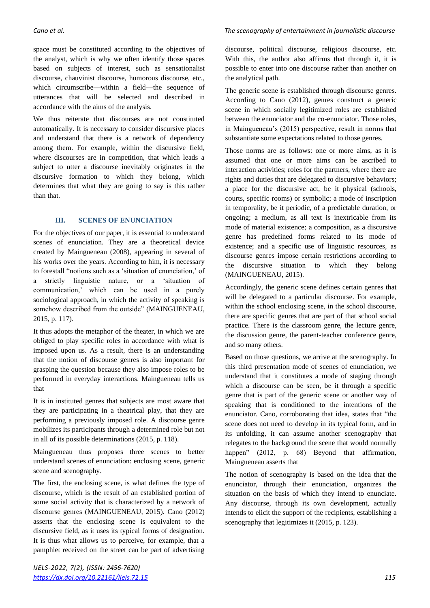space must be constituted according to the objectives of the analyst, which is why we often identify those spaces based on subjects of interest, such as sensationalist discourse, chauvinist discourse, humorous discourse, etc., which circumscribe—within a field—the sequence of utterances that will be selected and described in accordance with the aims of the analysis.

We thus reiterate that discourses are not constituted automatically. It is necessary to consider discursive places and understand that there is a network of dependency among them. For example, within the discursive field, where discourses are in competition, that which leads a subject to utter a discourse inevitably originates in the discursive formation to which they belong, which determines that what they are going to say is this rather than that.

### **III. SCENES OF ENUNCIATION**

For the objectives of our paper, it is essential to understand scenes of enunciation. They are a theoretical device created by Maingueneau (2008), appearing in several of his works over the years. According to him, it is necessary to forestall "notions such as a 'situation of enunciation,' of a strictly linguistic nature, or a 'situation of communication,' which can be used in a purely sociological approach, in which the activity of speaking is somehow described from the outside" (MAINGUENEAU, 2015, p. 117).

It thus adopts the metaphor of the theater, in which we are obliged to play specific roles in accordance with what is imposed upon us. As a result, there is an understanding that the notion of discourse genres is also important for grasping the question because they also impose roles to be performed in everyday interactions. Maingueneau tells us that

It is in instituted genres that subjects are most aware that they are participating in a theatrical play, that they are performing a previously imposed role. A discourse genre mobilizes its participants through a determined role but not in all of its possible determinations (2015, p. 118).

Maingueneau thus proposes three scenes to better understand scenes of enunciation: enclosing scene, generic scene and scenography.

The first, the enclosing scene, is what defines the type of discourse, which is the result of an established portion of some social activity that is characterized by a network of discourse genres (MAINGUENEAU, 2015). Cano (2012) asserts that the enclosing scene is equivalent to the discursive field, as it uses its typical forms of designation. It is thus what allows us to perceive, for example, that a pamphlet received on the street can be part of advertising

### *Cano et al. The scenography of entertainment in journalistic discourse*

discourse, political discourse, religious discourse, etc. With this, the author also affirms that through it, it is possible to enter into one discourse rather than another on the analytical path.

The generic scene is established through discourse genres. According to Cano (2012), genres construct a generic scene in which socially legitimized roles are established between the enunciator and the co-enunciator. Those roles, in Maingueneau's (2015) perspective, result in norms that substantiate some expectations related to those genres.

Those norms are as follows: one or more aims, as it is assumed that one or more aims can be ascribed to interaction activities; roles for the partners, where there are rights and duties that are delegated to discursive behaviors; a place for the discursive act, be it physical (schools, courts, specific rooms) or symbolic; a mode of inscription in temporality, be it periodic, of a predictable duration, or ongoing; a medium, as all text is inextricable from its mode of material existence; a composition, as a discursive genre has predefined forms related to its mode of existence; and a specific use of linguistic resources, as discourse genres impose certain restrictions according to the discursive situation to which they belong (MAINGUENEAU, 2015).

Accordingly, the generic scene defines certain genres that will be delegated to a particular discourse. For example, within the school enclosing scene, in the school discourse, there are specific genres that are part of that school social practice. There is the classroom genre, the lecture genre, the discussion genre, the parent-teacher conference genre, and so many others.

Based on those questions, we arrive at the scenography. In this third presentation mode of scenes of enunciation, we understand that it constitutes a mode of staging through which a discourse can be seen, be it through a specific genre that is part of the generic scene or another way of speaking that is conditioned to the intentions of the enunciator. Cano, corroborating that idea, states that "the scene does not need to develop in its typical form, and in its unfolding, it can assume another scenography that relegates to the background the scene that would normally happen" (2012, p. 68) Beyond that affirmation, Maingueneau asserts that

The notion of scenography is based on the idea that the enunciator, through their enunciation, organizes the situation on the basis of which they intend to enunciate. Any discourse, through its own development, actually intends to elicit the support of the recipients, establishing a scenography that legitimizes it (2015, p. 123).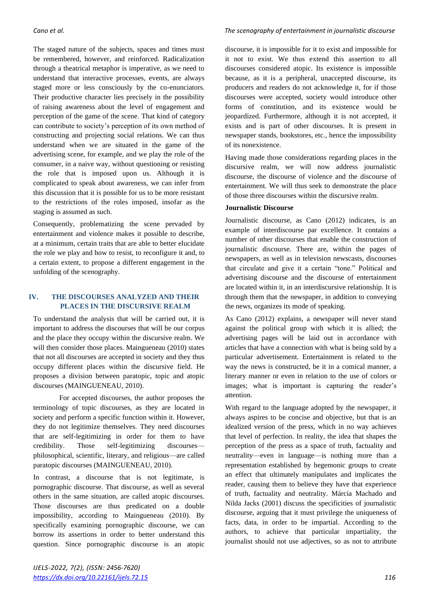The staged nature of the subjects, spaces and times must be remembered, however, and reinforced. Radicalization through a theatrical metaphor is imperative, as we need to understand that interactive processes, events, are always staged more or less consciously by the co-enunciators. Their productive character lies precisely in the possibility of raising awareness about the level of engagement and perception of the game of the scene. That kind of category can contribute to society's perception of its own method of constructing and projecting social relations. We can thus understand when we are situated in the game of the advertising scene, for example, and we play the role of the consumer, in a naive way, without questioning or resisting the role that is imposed upon us. Although it is complicated to speak about awareness, we can infer from this discussion that it is possible for us to be more resistant to the restrictions of the roles imposed, insofar as the staging is assumed as such.

Consequently, problematizing the scene pervaded by entertainment and violence makes it possible to describe, at a minimum, certain traits that are able to better elucidate the role we play and how to resist, to reconfigure it and, to a certain extent, to propose a different engagement in the unfolding of the scenography.

### **IV. THE DISCOURSES ANALYZED AND THEIR PLACES IN THE DISCURSIVE REALM**

To understand the analysis that will be carried out, it is important to address the discourses that will be our corpus and the place they occupy within the discursive realm. We will then consider those places. Maingueneau (2010) states that not all discourses are accepted in society and they thus occupy different places within the discursive field. He proposes a division between paratopic, topic and atopic discourses (MAINGUENEAU, 2010).

For accepted discourses, the author proposes the terminology of topic discourses, as they are located in society and perform a specific function within it. However, they do not legitimize themselves. They need discourses that are self-legitimizing in order for them to have credibility. Those self-legitimizing discourses philosophical, scientific, literary, and religious—are called paratopic discourses (MAINGUENEAU, 2010).

In contrast, a discourse that is not legitimate, is pornographic discourse. That discourse, as well as several others in the same situation, are called atopic discourses. Those discourses are thus predicated on a double impossibility, according to Maingueneau (2010). By specifically examining pornographic discourse, we can borrow its assertions in order to better understand this question. Since pornographic discourse is an atopic

### *Cano et al. The scenography of entertainment in journalistic discourse*

discourse, it is impossible for it to exist and impossible for it not to exist. We thus extend this assertion to all discourses considered atopic. Its existence is impossible because, as it is a peripheral, unaccepted discourse, its producers and readers do not acknowledge it, for if those discourses were accepted, society would introduce other forms of constitution, and its existence would be jeopardized. Furthermore, although it is not accepted, it exists and is part of other discourses. It is present in newspaper stands, bookstores, etc., hence the impossibility of its nonexistence.

Having made those considerations regarding places in the discursive realm, we will now address journalistic discourse, the discourse of violence and the discourse of entertainment. We will thus seek to demonstrate the place of those three discourses within the discursive realm.

### **Journalistic Discourse**

Journalistic discourse, as Cano (2012) indicates, is an example of interdiscourse par excellence. It contains a number of other discourses that enable the construction of journalistic discourse. There are, within the pages of newspapers, as well as in television newscasts, discourses that circulate and give it a certain "tone." Political and advertising discourse and the discourse of entertainment are located within it, in an interdiscursive relationship. It is through them that the newspaper, in addition to conveying the news, organizes its mode of speaking.

As Cano (2012) explains, a newspaper will never stand against the political group with which it is allied; the advertising pages will be laid out in accordance with articles that have a connection with what is being sold by a particular advertisement. Entertainment is related to the way the news is constructed, be it in a comical manner, a literary manner or even in relation to the use of colors or images; what is important is capturing the reader's attention.

With regard to the language adopted by the newspaper, it always aspires to be concise and objective, but that is an idealized version of the press, which in no way achieves that level of perfection. In reality, the idea that shapes the perception of the press as a space of truth, factuality and neutrality—even in language—is nothing more than a representation established by hegemonic groups to create an effect that ultimately manipulates and implicates the reader, causing them to believe they have that experience of truth, factuality and neutrality. Márcia Machado and Nilda Jacks (2001) discuss the specificities of journalistic discourse, arguing that it must privilege the uniqueness of facts, data, in order to be impartial. According to the authors, to achieve that particular impartiality, the journalist should not use adjectives, so as not to attribute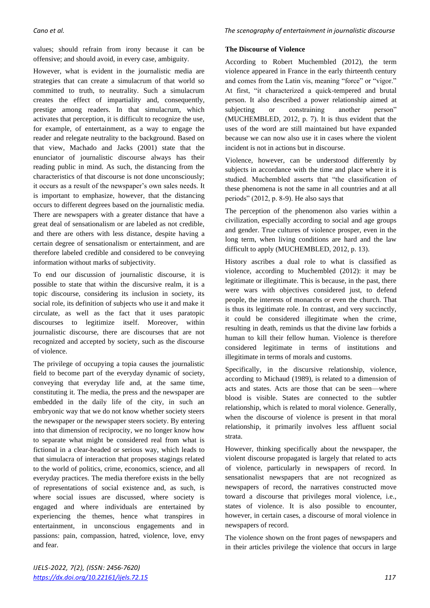values; should refrain from irony because it can be offensive; and should avoid, in every case, ambiguity.

However, what is evident in the journalistic media are strategies that can create a simulacrum of that world so committed to truth, to neutrality. Such a simulacrum creates the effect of impartiality and, consequently, prestige among readers. In that simulacrum, which activates that perception, it is difficult to recognize the use, for example, of entertainment, as a way to engage the reader and relegate neutrality to the background. Based on that view, Machado and Jacks (2001) state that the enunciator of journalistic discourse always has their reading public in mind. As such, the distancing from the characteristics of that discourse is not done unconsciously; it occurs as a result of the newspaper's own sales needs. It is important to emphasize, however, that the distancing occurs to different degrees based on the journalistic media. There are newspapers with a greater distance that have a great deal of sensationalism or are labeled as not credible, and there are others with less distance, despite having a certain degree of sensationalism or entertainment, and are therefore labeled credible and considered to be conveying information without marks of subjectivity.

To end our discussion of journalistic discourse, it is possible to state that within the discursive realm, it is a topic discourse, considering its inclusion in society, its social role, its definition of subjects who use it and make it circulate, as well as the fact that it uses paratopic discourses to legitimize itself. Moreover, within journalistic discourse, there are discourses that are not recognized and accepted by society, such as the discourse of violence.

The privilege of occupying a topia causes the journalistic field to become part of the everyday dynamic of society, conveying that everyday life and, at the same time, constituting it. The media, the press and the newspaper are embedded in the daily life of the city, in such an embryonic way that we do not know whether society steers the newspaper or the newspaper steers society. By entering into that dimension of reciprocity, we no longer know how to separate what might be considered real from what is fictional in a clear-headed or serious way, which leads to that simulacra of interaction that proposes stagings related to the world of politics, crime, economics, science, and all everyday practices. The media therefore exists in the belly of representations of social existence and, as such, is where social issues are discussed, where society is engaged and where individuals are entertained by experiencing the themes, hence what transpires in entertainment, in unconscious engagements and in passions: pain, compassion, hatred, violence, love, envy and fear.

### **The Discourse of Violence**

According to Robert Muchembled (2012), the term violence appeared in France in the early thirteenth century and comes from the Latin vis, meaning "force" or "vigor." At first, "it characterized a quick-tempered and brutal person. It also described a power relationship aimed at subjecting or constraining another person" (MUCHEMBLED, 2012, p. 7). It is thus evident that the uses of the word are still maintained but have expanded because we can now also use it in cases where the violent incident is not in actions but in discourse.

Violence, however, can be understood differently by subjects in accordance with the time and place where it is studied. Muchembled asserts that "the classification of these phenomena is not the same in all countries and at all periods" (2012, p. 8-9). He also says that

The perception of the phenomenon also varies within a civilization, especially according to social and age groups and gender. True cultures of violence prosper, even in the long term, when living conditions are hard and the law difficult to apply (MUCHEMBLED, 2012, p. 13).

History ascribes a dual role to what is classified as violence, according to Muchembled (2012): it may be legitimate or illegitimate. This is because, in the past, there were wars with objectives considered just, to defend people, the interests of monarchs or even the church. That is thus its legitimate role. In contrast, and very succinctly, it could be considered illegitimate when the crime, resulting in death, reminds us that the divine law forbids a human to kill their fellow human. Violence is therefore considered legitimate in terms of institutions and illegitimate in terms of morals and customs.

Specifically, in the discursive relationship, violence, according to Michaud (1989), is related to a dimension of acts and states. Acts are those that can be seen—where blood is visible. States are connected to the subtler relationship, which is related to moral violence. Generally, when the discourse of violence is present in that moral relationship, it primarily involves less affluent social strata.

However, thinking specifically about the newspaper, the violent discourse propagated is largely that related to acts of violence, particularly in newspapers of record. In sensationalist newspapers that are not recognized as newspapers of record, the narratives constructed move toward a discourse that privileges moral violence, i.e., states of violence. It is also possible to encounter, however, in certain cases, a discourse of moral violence in newspapers of record.

The violence shown on the front pages of newspapers and in their articles privilege the violence that occurs in large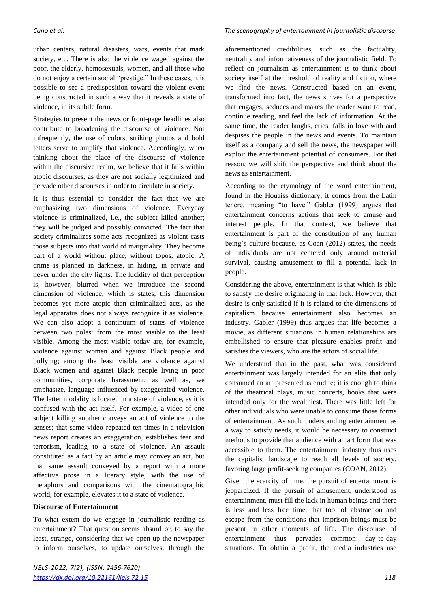urban centers, natural disasters, wars, events that mark society, etc. There is also the violence waged against the poor, the elderly, homosexuals, women, and all those who do not enjoy a certain social "prestige." In these cases, it is possible to see a predisposition toward the violent event being constructed in such a way that it reveals a state of violence, in its subtle form.

Strategies to present the news or front-page headlines also contribute to broadening the discourse of violence. Not infrequently, the use of colors, striking photos and bold letters serve to amplify that violence. Accordingly, when thinking about the place of the discourse of violence within the discursive realm, we believe that it falls within atopic discourses, as they are not socially legitimized and pervade other discourses in order to circulate in society.

It is thus essential to consider the fact that we are emphasizing two dimensions of violence. Everyday violence is criminalized, i.e., the subject killed another; they will be judged and possibly convicted. The fact that society criminalizes some acts recognized as violent casts those subjects into that world of marginality. They become part of a world without place, without topos, atopic. A crime is planned in darkness, in hiding, in private and never under the city lights. The lucidity of that perception is, however, blurred when we introduce the second dimension of violence, which is states; this dimension becomes yet more atopic than criminalized acts, as the legal apparatus does not always recognize it as violence. We can also adopt a continuum of states of violence between two poles: from the most visible to the least visible. Among the most visible today are, for example, violence against women and against Black people and bullying; among the least visible are violence against Black women and against Black people living in poor communities, corporate harassment, as well as, we emphasize, language influenced by exaggerated violence. The latter modality is located in a state of violence, as it is confused with the act itself. For example, a video of one subject killing another conveys an act of violence to the senses; that same video repeated ten times in a television news report creates an exaggeration, establishes fear and terrorism, leading to a state of violence. An assault constituted as a fact by an article may convey an act, but that same assault conveyed by a report with a more affective prose in a literary style, with the use of metaphors and comparisons with the cinematographic world, for example, elevates it to a state of violence.

### **Discourse of Entertainment**

To what extent do we engage in journalistic reading as entertainment? That question seems absurd or, to say the least, strange, considering that we open up the newspaper to inform ourselves, to update ourselves, through the

### *Cano et al. The scenography of entertainment in journalistic discourse*

aforementioned credibilities, such as the factuality, neutrality and informativeness of the journalistic field. To reflect on journalism as entertainment is to think about society itself at the threshold of reality and fiction, where we find the news. Constructed based on an event, transformed into fact, the news strives for a perspective that engages, seduces and makes the reader want to read, continue reading, and feel the lack of information. At the same time, the reader laughs, cries, falls in love with and despises the people in the news and events. To maintain itself as a company and sell the news, the newspaper will exploit the entertainment potential of consumers. For that reason, we will shift the perspective and think about the news as entertainment.

According to the etymology of the word entertainment, found in the Houaiss dictionary, it comes from the Latin tenere, meaning "to have." Gabler (1999) argues that entertainment concerns actions that seek to amuse and interest people. In that context, we believe that entertainment is part of the constitution of any human being's culture because, as Coan (2012) states, the needs of individuals are not centered only around material survival, causing amusement to fill a potential lack in people.

Considering the above, entertainment is that which is able to satisfy the desire originating in that lack. However, that desire is only satisfied if it is related to the dimensions of capitalism because entertainment also becomes an industry. Gabler (1999) thus argues that life becomes a movie, as different situations in human relationships are embellished to ensure that pleasure enables profit and satisfies the viewers, who are the actors of social life.

We understand that in the past, what was considered entertainment was largely intended for an elite that only consumed an art presented as erudite; it is enough to think of the theatrical plays, music concerts, books that were intended only for the wealthiest. There was little left for other individuals who were unable to consume those forms of entertainment. As such, understanding entertainment as a way to satisfy needs, it would be necessary to construct methods to provide that audience with an art form that was accessible to them. The entertainment industry thus uses the capitalist landscape to reach all levels of society, favoring large profit-seeking companies (COAN, 2012).

Given the scarcity of time, the pursuit of entertainment is jeopardized. If the pursuit of amusement, understood as entertainment, must fill the lack in human beings and there is less and less free time, that tool of abstraction and escape from the conditions that imprison beings must be present in other moments of life. The discourse of entertainment thus pervades common day-to-day situations. To obtain a profit, the media industries use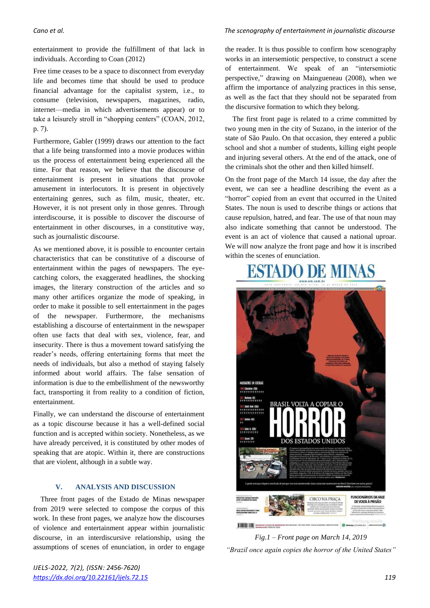entertainment to provide the fulfillment of that lack in individuals. According to Coan (2012)

Free time ceases to be a space to disconnect from everyday life and becomes time that should be used to produce financial advantage for the capitalist system, i.e., to consume (television, newspapers, magazines, radio, internet—media in which advertisements appear) or to take a leisurely stroll in "shopping centers" (COAN, 2012, p. 7).

Furthermore, Gabler (1999) draws our attention to the fact that a life being transformed into a movie produces within us the process of entertainment being experienced all the time. For that reason, we believe that the discourse of entertainment is present in situations that provoke amusement in interlocutors. It is present in objectively entertaining genres, such as film, music, theater, etc. However, it is not present only in those genres. Through interdiscourse, it is possible to discover the discourse of entertainment in other discourses, in a constitutive way, such as journalistic discourse.

As we mentioned above, it is possible to encounter certain characteristics that can be constitutive of a discourse of entertainment within the pages of newspapers. The eyecatching colors, the exaggerated headlines, the shocking images, the literary construction of the articles and so many other artifices organize the mode of speaking, in order to make it possible to sell entertainment in the pages of the newspaper. Furthermore, the mechanisms establishing a discourse of entertainment in the newspaper often use facts that deal with sex, violence, fear, and insecurity. There is thus a movement toward satisfying the reader's needs, offering entertaining forms that meet the needs of individuals, but also a method of staying falsely informed about world affairs. The false sensation of information is due to the embellishment of the newsworthy fact, transporting it from reality to a condition of fiction, entertainment.

Finally, we can understand the discourse of entertainment as a topic discourse because it has a well-defined social function and is accepted within society. Nonetheless, as we have already perceived, it is constituted by other modes of speaking that are atopic. Within it, there are constructions that are violent, although in a subtle way.

### **V. ANALYSIS AND DISCUSSION**

Three front pages of the Estado de Minas newspaper from 2019 were selected to compose the corpus of this work. In these front pages, we analyze how the discourses of violence and entertainment appear within journalistic discourse, in an interdiscursive relationship, using the assumptions of scenes of enunciation, in order to engage

### *Cano et al. The scenography of entertainment in journalistic discourse*

the reader. It is thus possible to confirm how scenography works in an intersemiotic perspective, to construct a scene of entertainment. We speak of an "intersemiotic perspective," drawing on Maingueneau (2008), when we affirm the importance of analyzing practices in this sense, as well as the fact that they should not be separated from the discursive formation to which they belong.

The first front page is related to a crime committed by two young men in the city of Suzano, in the interior of the state of São Paulo. On that occasion, they entered a public school and shot a number of students, killing eight people and injuring several others. At the end of the attack, one of the criminals shot the other and then killed himself.

On the front page of the March 14 issue, the day after the event, we can see a headline describing the event as a "horror" copied from an event that occurred in the United States. The noun is used to describe things or actions that cause repulsion, hatred, and fear. The use of that noun may also indicate something that cannot be understood. The event is an act of violence that caused a national uproar. We will now analyze the front page and how it is inscribed within the scenes of enunciation.

# ESTADO DE MINAS MASSACRES EM ESCOLAS I<mark>SSS</mark> Colombine (EUA)<br>† † † † † † † † † † † † † Till Realenge (RI)<br>††††††††††††† BRASIL VOLTA A COPIAR O 7218 Sunta Fe (EUA)<br>† † † † † † † † † † 2015 Sunno (SP) S ESTADOS LINIDO FUNCIONÁRIOS DA VALE<br>DE VOLTA À PRISÃO **CIRCO NA PRACA THEFT HE**



*IJELS-2022, 7(2), (ISSN: 2456-7620) <https://dx.doi.org/10.22161/ijels.72.15>119*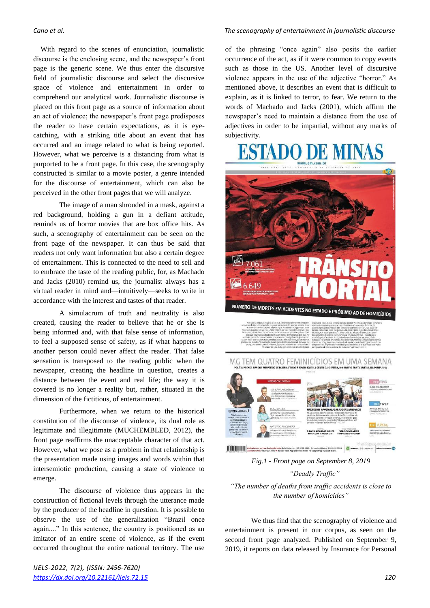With regard to the scenes of enunciation, journalistic discourse is the enclosing scene, and the newspaper's front page is the generic scene. We thus enter the discursive field of journalistic discourse and select the discursive space of violence and entertainment in order to comprehend our analytical work. Journalistic discourse is placed on this front page as a source of information about an act of violence; the newspaper's front page predisposes the reader to have certain expectations, as it is eyecatching, with a striking title about an event that has occurred and an image related to what is being reported. However, what we perceive is a distancing from what is purported to be a front page. In this case, the scenography constructed is similar to a movie poster, a genre intended for the discourse of entertainment, which can also be perceived in the other front pages that we will analyze.

The image of a man shrouded in a mask, against a red background, holding a gun in a defiant attitude, reminds us of horror movies that are box office hits. As such, a scenography of entertainment can be seen on the front page of the newspaper. It can thus be said that readers not only want information but also a certain degree of entertainment. This is connected to the need to sell and to embrace the taste of the reading public, for, as Machado and Jacks (2010) remind us, the journalist always has a virtual reader in mind and—intuitively—seeks to write in accordance with the interest and tastes of that reader.

A simulacrum of truth and neutrality is also created, causing the reader to believe that he or she is being informed and, with that false sense of information, to feel a supposed sense of safety, as if what happens to another person could never affect the reader. That false sensation is transposed to the reading public when the newspaper, creating the headline in question, creates a distance between the event and real life; the way it is covered is no longer a reality but, rather, situated in the dimension of the fictitious, of entertainment.

Furthermore, when we return to the historical constitution of the discourse of violence, its dual role as legitimate and illegitimate (MUCHEMBLED, 2012), the front page reaffirms the unacceptable character of that act. However, what we pose as a problem in that relationship is the presentation made using images and words within that intersemiotic production, causing a state of violence to emerge.

The discourse of violence thus appears in the construction of fictional levels through the utterance made by the producer of the headline in question. It is possible to observe the use of the generalization "Brazil once again...." In this sentence, the country is positioned as an imitator of an entire scene of violence, as if the event occurred throughout the entire national territory. The use

### *Cano et al. The scenography of entertainment in journalistic discourse*

of the phrasing "once again" also posits the earlier occurrence of the act, as if it were common to copy events such as those in the US. Another level of discursive violence appears in the use of the adjective "horror." As mentioned above, it describes an event that is difficult to explain, as it is linked to terror, to fear. We return to the words of Machado and Jacks (2001), which affirm the newspaper's need to maintain a distance from the use of adjectives in order to be impartial, without any marks of subjectivity.



*Fig.1 - Front page on September 8, 2019 "Deadly Traffic"*

*"The number of deaths from traffic accidents is close to the number of homicides"*

We thus find that the scenography of violence and entertainment is present in our corpus, as seen on the second front page analyzed. Published on September 9, 2019, it reports on data released by Insurance for Personal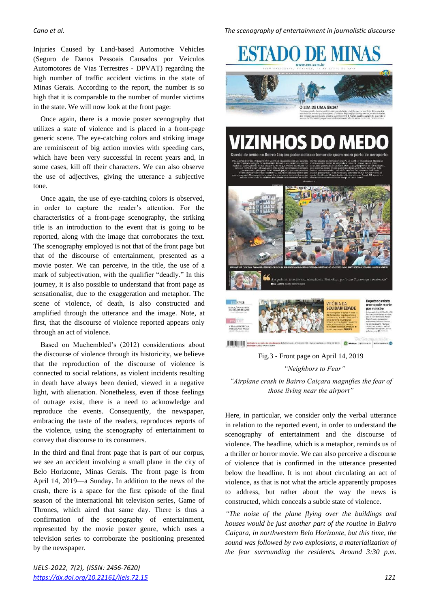Injuries Caused by Land-based Automotive Vehicles (Seguro de Danos Pessoais Causados por Veículos Automotores de Vias Terrestres - DPVAT) regarding the high number of traffic accident victims in the state of Minas Gerais. According to the report, the number is so high that it is comparable to the number of murder victims in the state. We will now look at the front page:

Once again, there is a movie poster scenography that utilizes a state of violence and is placed in a front-page generic scene. The eye-catching colors and striking image are reminiscent of big action movies with speeding cars, which have been very successful in recent years and, in some cases, kill off their characters. We can also observe the use of adjectives, giving the utterance a subjective tone.

Once again, the use of eye-catching colors is observed, in order to capture the reader's attention. For the characteristics of a front-page scenography, the striking title is an introduction to the event that is going to be reported, along with the image that corroborates the text. The scenography employed is not that of the front page but that of the discourse of entertainment, presented as a movie poster. We can perceive, in the title, the use of a mark of subjectivation, with the qualifier "deadly." In this journey, it is also possible to understand that front page as sensationalist, due to the exaggeration and metaphor. The scene of violence, of death, is also constructed and amplified through the utterance and the image. Note, at first, that the discourse of violence reported appears only through an act of violence.

Based on Muchembled's (2012) considerations about the discourse of violence through its historicity, we believe that the reproduction of the discourse of violence is connected to social relations, as violent incidents resulting in death have always been denied, viewed in a negative light, with alienation. Nonetheless, even if those feelings of outrage exist, there is a need to acknowledge and reproduce the events. Consequently, the newspaper, embracing the taste of the readers, reproduces reports of the violence, using the scenography of entertainment to convey that discourse to its consumers.

In the third and final front page that is part of our corpus, we see an accident involving a small plane in the city of Belo Horizonte, Minas Gerais. The front page is from April 14, 2019—a Sunday. In addition to the news of the crash, there is a space for the first episode of the final season of the international hit television series, Game of Thrones, which aired that same day. There is thus a confirmation of the scenography of entertainment, represented by the movie poster genre, which uses a television series to corroborate the positioning presented by the newspaper.

*IJELS-2022, 7(2), (ISSN: 2456-7620) <https://dx.doi.org/10.22161/ijels.72.15>121*

*Cano et al. The scenography of entertainment in journalistic discourse*





Fig.3 - Front page on April 14, 2019 *"Neighbors to Fear" "Airplane crash in Bairro Caiçara magnifies the fear of those living near the airport"*

**Automobile Automobile Service de stands** 

Here, in particular, we consider only the verbal utterance in relation to the reported event, in order to understand the scenography of entertainment and the discourse of violence. The headline, which is a metaphor, reminds us of a thriller or horror movie. We can also perceive a discourse of violence that is confirmed in the utterance presented below the headline. It is not about circulating an act of violence, as that is not what the article apparently proposes to address, but rather about the way the news is constructed, which conceals a subtle state of violence.

*"The noise of the plane flying over the buildings and houses would be just another part of the routine in Bairro Caiçara, in northwestern Belo Horizonte, but this time, the sound was followed by two explosions, a materialization of the fear surrounding the residents. Around 3:30 p.m.*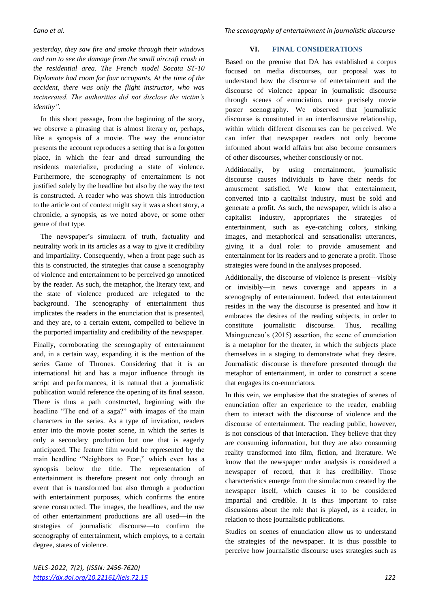*yesterday, they saw fire and smoke through their windows and ran to see the damage from the small aircraft crash in the residential area. The French model Socata ST-10 Diplomate had room for four occupants. At the time of the accident, there was only the flight instructor, who was incinerated. The authorities did not disclose the victim's identity".*

In this short passage, from the beginning of the story, we observe a phrasing that is almost literary or, perhaps, like a synopsis of a movie. The way the enunciator presents the account reproduces a setting that is a forgotten place, in which the fear and dread surrounding the residents materialize, producing a state of violence. Furthermore, the scenography of entertainment is not justified solely by the headline but also by the way the text is constructed. A reader who was shown this introduction to the article out of context might say it was a short story, a chronicle, a synopsis, as we noted above, or some other genre of that type.

The newspaper's simulacra of truth, factuality and neutrality work in its articles as a way to give it credibility and impartiality. Consequently, when a front page such as this is constructed, the strategies that cause a scenography of violence and entertainment to be perceived go unnoticed by the reader. As such, the metaphor, the literary text, and the state of violence produced are relegated to the background. The scenography of entertainment thus implicates the readers in the enunciation that is presented, and they are, to a certain extent, compelled to believe in the purported impartiality and credibility of the newspaper.

Finally, corroborating the scenography of entertainment and, in a certain way, expanding it is the mention of the series Game of Thrones. Considering that it is an international hit and has a major influence through its script and performances, it is natural that a journalistic publication would reference the opening of its final season. There is thus a path constructed, beginning with the headline "The end of a saga?" with images of the main characters in the series. As a type of invitation, readers enter into the movie poster scene, in which the series is only a secondary production but one that is eagerly anticipated. The feature film would be represented by the main headline "Neighbors to Fear," which even has a synopsis below the title. The representation of entertainment is therefore present not only through an event that is transformed but also through a production with entertainment purposes, which confirms the entire scene constructed. The images, the headlines, and the use of other entertainment productions are all used—in the strategies of journalistic discourse—to confirm the scenography of entertainment, which employs, to a certain degree, states of violence.

### **VI. FINAL CONSIDERATIONS**

Based on the premise that DA has established a corpus focused on media discourses, our proposal was to understand how the discourse of entertainment and the discourse of violence appear in journalistic discourse through scenes of enunciation, more precisely movie poster scenography. We observed that journalistic discourse is constituted in an interdiscursive relationship, within which different discourses can be perceived. We can infer that newspaper readers not only become informed about world affairs but also become consumers of other discourses, whether consciously or not.

Additionally, by using entertainment, journalistic discourse causes individuals to have their needs for amusement satisfied. We know that entertainment, converted into a capitalist industry, must be sold and generate a profit. As such, the newspaper, which is also a capitalist industry, appropriates the strategies of entertainment, such as eye-catching colors, striking images, and metaphorical and sensationalist utterances, giving it a dual role: to provide amusement and entertainment for its readers and to generate a profit. Those strategies were found in the analyses proposed.

Additionally, the discourse of violence is present—visibly or invisibly—in news coverage and appears in a scenography of entertainment. Indeed, that entertainment resides in the way the discourse is presented and how it embraces the desires of the reading subjects, in order to constitute journalistic discourse. Thus, recalling Maingueneau's (2015) assertion, the scene of enunciation is a metaphor for the theater, in which the subjects place themselves in a staging to demonstrate what they desire. Journalistic discourse is therefore presented through the metaphor of entertainment, in order to construct a scene that engages its co-enunciators.

In this vein, we emphasize that the strategies of scenes of enunciation offer an experience to the reader, enabling them to interact with the discourse of violence and the discourse of entertainment. The reading public, however, is not conscious of that interaction. They believe that they are consuming information, but they are also consuming reality transformed into film, fiction, and literature. We know that the newspaper under analysis is considered a newspaper of record, that it has credibility. Those characteristics emerge from the simulacrum created by the newspaper itself, which causes it to be considered impartial and credible. It is thus important to raise discussions about the role that is played, as a reader, in relation to those journalistic publications.

Studies on scenes of enunciation allow us to understand the strategies of the newspaper. It is thus possible to perceive how journalistic discourse uses strategies such as